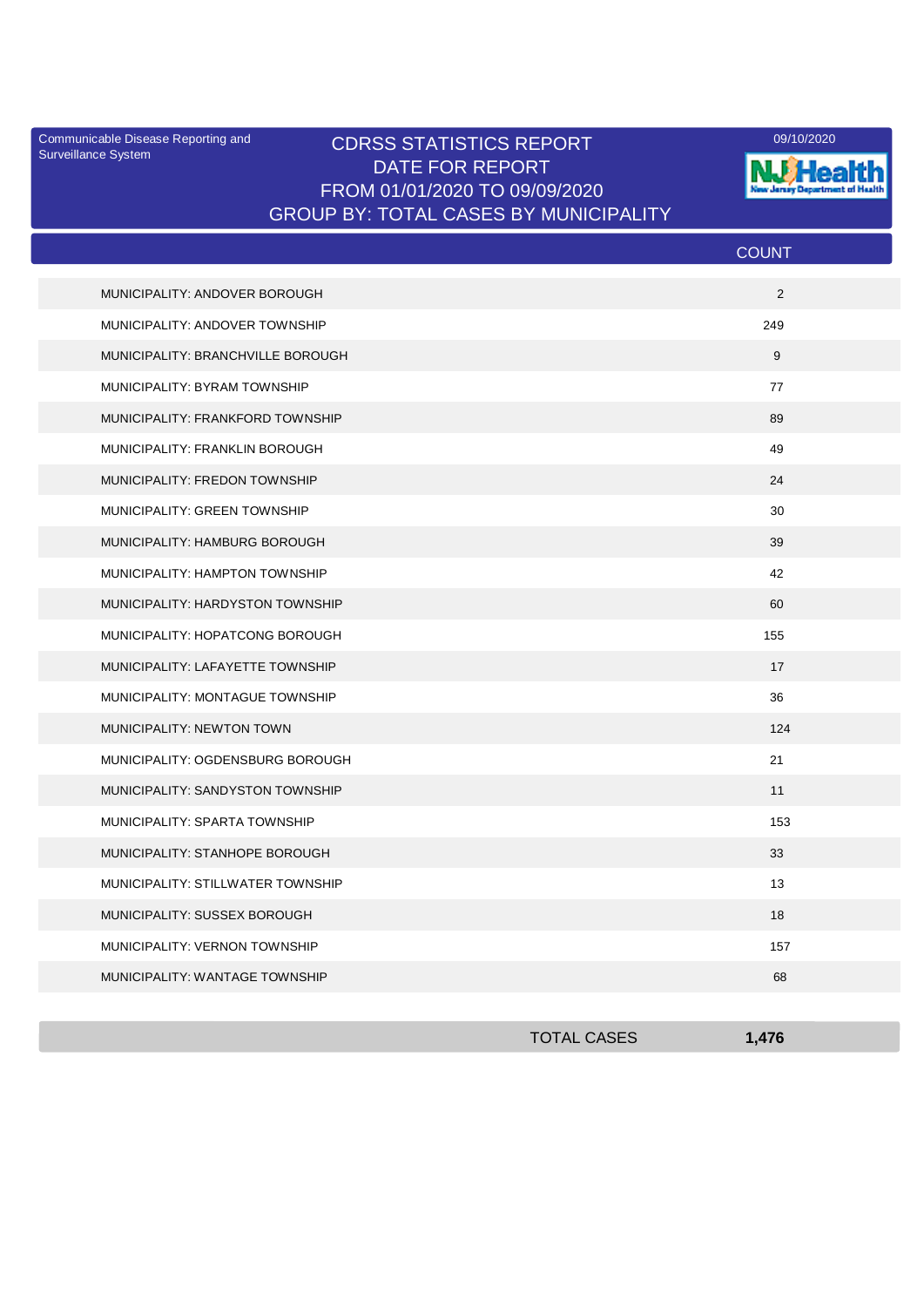Surveillance System

## Communicable Disease Reporting and CDRSS STATISTICS REPORT **COMMUNICAL COMMUNICATION** DATE FOR REPORT FROM 01/01/2020 TO 09/09/2020 GROUP BY: TOTAL CASES BY MUNICIPALITY



|                                   | <b>COUNT</b> |
|-----------------------------------|--------------|
| MUNICIPALITY: ANDOVER BOROUGH     | 2            |
| MUNICIPALITY: ANDOVER TOWNSHIP    | 249          |
| MUNICIPALITY: BRANCHVILLE BOROUGH | 9            |
| MUNICIPALITY: BYRAM TOWNSHIP      | 77           |
| MUNICIPALITY: FRANKFORD TOWNSHIP  | 89           |
| MUNICIPALITY: FRANKLIN BOROUGH    | 49           |
| MUNICIPALITY: FREDON TOWNSHIP     | 24           |
| MUNICIPALITY: GREEN TOWNSHIP      | 30           |
| MUNICIPALITY: HAMBURG BOROUGH     | 39           |
| MUNICIPALITY: HAMPTON TOWNSHIP    | 42           |
| MUNICIPALITY: HARDYSTON TOWNSHIP  | 60           |
| MUNICIPALITY: HOPATCONG BOROUGH   | 155          |
| MUNICIPALITY: LAFAYETTE TOWNSHIP  | 17           |
| MUNICIPALITY: MONTAGUE TOWNSHIP   | 36           |
| MUNICIPALITY: NEWTON TOWN         | 124          |
| MUNICIPALITY: OGDENSBURG BOROUGH  | 21           |
| MUNICIPALITY: SANDYSTON TOWNSHIP  | 11           |
| MUNICIPALITY: SPARTA TOWNSHIP     | 153          |
| MUNICIPALITY: STANHOPE BOROUGH    | 33           |
| MUNICIPALITY: STILLWATER TOWNSHIP | 13           |
| MUNICIPALITY: SUSSEX BOROUGH      | 18           |
| MUNICIPALITY: VERNON TOWNSHIP     | 157          |
| MUNICIPALITY: WANTAGE TOWNSHIP    | 68           |

| <b>TOTAL CASES</b> | A76<br>71 V |
|--------------------|-------------|
|                    |             |